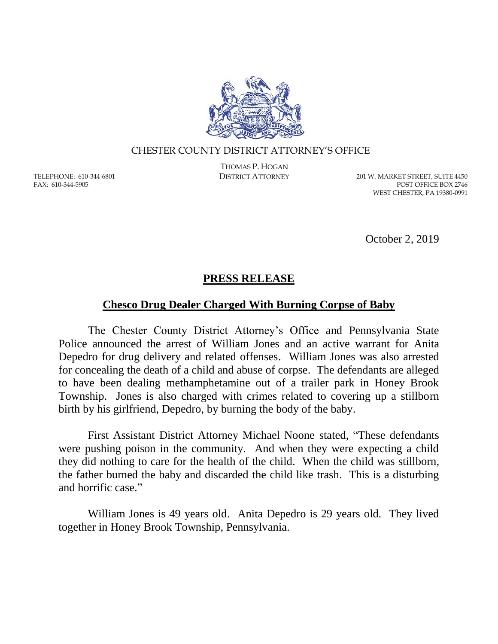

## CHESTER COUNTY DISTRICT ATTORNEY'S OFFICE

TELEPHONE: 610-344-6801 FAX: 610-344-5905

THOMAS P. HOGAN

DISTRICT ATTORNEY 201 W. MARKET STREET, SUITE 4450 POST OFFICE BOX 2746 WEST CHESTER, PA 19380-0991

October 2, 2019

## **PRESS RELEASE**

## **Chesco Drug Dealer Charged With Burning Corpse of Baby**

The Chester County District Attorney's Office and Pennsylvania State Police announced the arrest of William Jones and an active warrant for Anita Depedro for drug delivery and related offenses. William Jones was also arrested for concealing the death of a child and abuse of corpse. The defendants are alleged to have been dealing methamphetamine out of a trailer park in Honey Brook Township. Jones is also charged with crimes related to covering up a stillborn birth by his girlfriend, Depedro, by burning the body of the baby.

First Assistant District Attorney Michael Noone stated, "These defendants were pushing poison in the community. And when they were expecting a child they did nothing to care for the health of the child. When the child was stillborn, the father burned the baby and discarded the child like trash. This is a disturbing and horrific case."

William Jones is 49 years old. Anita Depedro is 29 years old. They lived together in Honey Brook Township, Pennsylvania.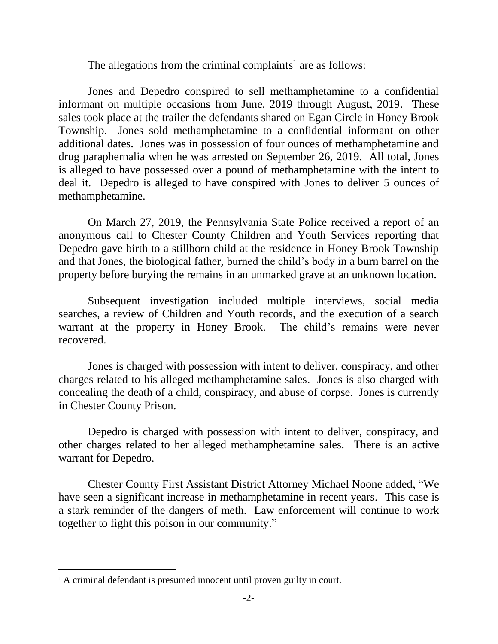The allegations from the criminal complaints<sup>1</sup> are as follows:

Jones and Depedro conspired to sell methamphetamine to a confidential informant on multiple occasions from June, 2019 through August, 2019. These sales took place at the trailer the defendants shared on Egan Circle in Honey Brook Township. Jones sold methamphetamine to a confidential informant on other additional dates. Jones was in possession of four ounces of methamphetamine and drug paraphernalia when he was arrested on September 26, 2019. All total, Jones is alleged to have possessed over a pound of methamphetamine with the intent to deal it. Depedro is alleged to have conspired with Jones to deliver 5 ounces of methamphetamine.

On March 27, 2019, the Pennsylvania State Police received a report of an anonymous call to Chester County Children and Youth Services reporting that Depedro gave birth to a stillborn child at the residence in Honey Brook Township and that Jones, the biological father, burned the child's body in a burn barrel on the property before burying the remains in an unmarked grave at an unknown location.

Subsequent investigation included multiple interviews, social media searches, a review of Children and Youth records, and the execution of a search warrant at the property in Honey Brook. The child's remains were never recovered.

Jones is charged with possession with intent to deliver, conspiracy, and other charges related to his alleged methamphetamine sales. Jones is also charged with concealing the death of a child, conspiracy, and abuse of corpse. Jones is currently in Chester County Prison.

Depedro is charged with possession with intent to deliver, conspiracy, and other charges related to her alleged methamphetamine sales. There is an active warrant for Depedro.

Chester County First Assistant District Attorney Michael Noone added, "We have seen a significant increase in methamphetamine in recent years. This case is a stark reminder of the dangers of meth. Law enforcement will continue to work together to fight this poison in our community."

 $\overline{a}$ 

<sup>&</sup>lt;sup>1</sup> A criminal defendant is presumed innocent until proven guilty in court.